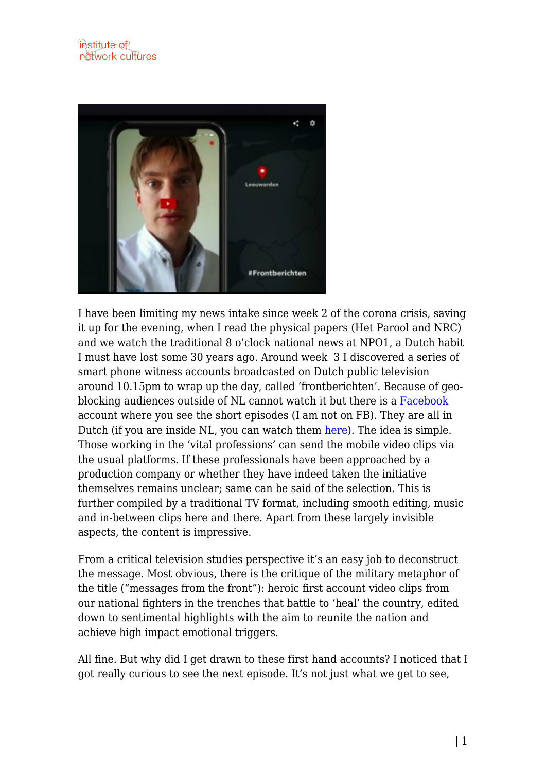

I have been limiting my news intake since week 2 of the corona crisis, saving it up for the evening, when I read the physical papers (Het Parool and NRC) and we watch the traditional 8 o'clock national news at NPO1, a Dutch habit I must have lost some 30 years ago. Around week 3 I discovered a series of smart phone witness accounts broadcasted on Dutch public television around 10.15pm to wrap up the day, called 'frontberichten'. Because of geoblocking audiences outside of NL cannot watch it but there is a [Facebook](https://www.facebook.com/frontberichten/) account where you see the short episodes (I am not on FB). They are all in Dutch (if you are inside NL, you can watch them [here](https://www.npostart.nl/BV_101399247)). The idea is simple. Those working in the 'vital professions' can send the mobile video clips via the usual platforms. If these professionals have been approached by a production company or whether they have indeed taken the initiative themselves remains unclear; same can be said of the selection. This is further compiled by a traditional TV format, including smooth editing, music and in-between clips here and there. Apart from these largely invisible aspects, the content is impressive.

From a critical television studies perspective it's an easy job to deconstruct the message. Most obvious, there is the critique of the military metaphor of the title ("messages from the front"): heroic first account video clips from our national fighters in the trenches that battle to 'heal' the country, edited down to sentimental highlights with the aim to reunite the nation and achieve high impact emotional triggers.

All fine. But why did I get drawn to these first hand accounts? I noticed that I got really curious to see the next episode. It's not just what we get to see,